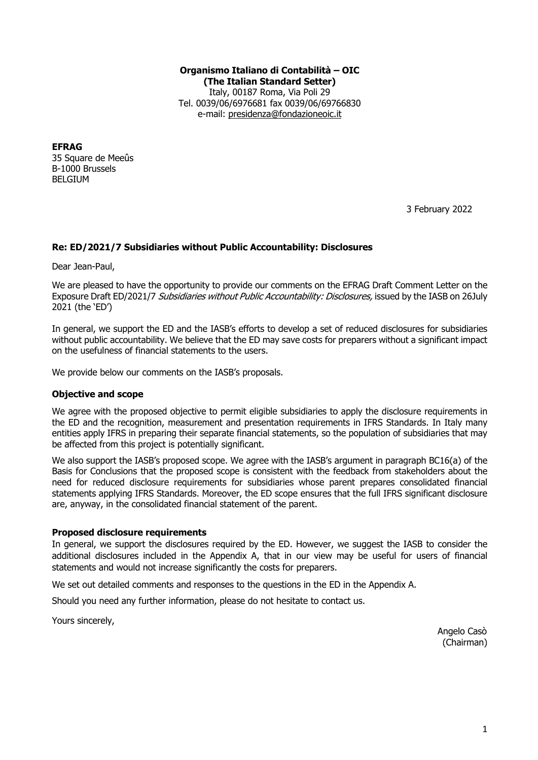### **Organismo Italiano di Contabilità – OIC (The Italian Standard Setter)** Italy, 00187 Roma, Via Poli 29 Tel. 0039/06/6976681 fax 0039/06/69766830 e-mail: presidenza@fondazioneoic.it

**EFRAG**  35 Square de Meeûs B-1000 Brussels BELGIUM

3 February 2022

## **Re: ED/2021/7 Subsidiaries without Public Accountability: Disclosures**

Dear Jean-Paul,

We are pleased to have the opportunity to provide our comments on the EFRAG Draft Comment Letter on the Exposure Draft ED/2021/7 Subsidiaries without Public Accountability: Disclosures, issued by the IASB on 26July 2021 (the 'ED')

In general, we support the ED and the IASB's efforts to develop a set of reduced disclosures for subsidiaries without public accountability. We believe that the ED may save costs for preparers without a significant impact on the usefulness of financial statements to the users.

We provide below our comments on the IASB's proposals.

## **Objective and scope**

We agree with the proposed objective to permit eligible subsidiaries to apply the disclosure requirements in the ED and the recognition, measurement and presentation requirements in IFRS Standards. In Italy many entities apply IFRS in preparing their separate financial statements, so the population of subsidiaries that may be affected from this project is potentially significant.

We also support the IASB's proposed scope. We agree with the IASB's argument in paragraph BC16(a) of the Basis for Conclusions that the proposed scope is consistent with the feedback from stakeholders about the need for reduced disclosure requirements for subsidiaries whose parent prepares consolidated financial statements applying IFRS Standards. Moreover, the ED scope ensures that the full IFRS significant disclosure are, anyway, in the consolidated financial statement of the parent.

## **Proposed disclosure requirements**

In general, we support the disclosures required by the ED. However, we suggest the IASB to consider the additional disclosures included in the Appendix A, that in our view may be useful for users of financial statements and would not increase significantly the costs for preparers.

We set out detailed comments and responses to the questions in the ED in the Appendix A.

Should you need any further information, please do not hesitate to contact us.

Yours sincerely,

 Angelo Casò (Chairman)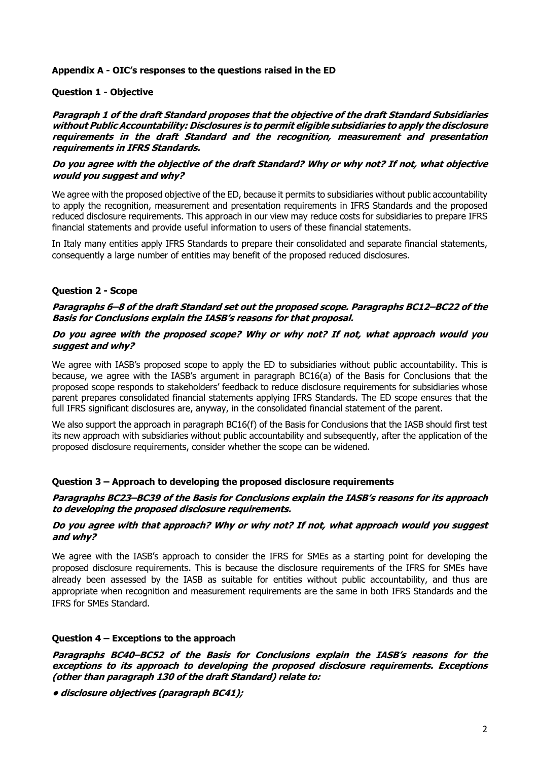## **Appendix A - OIC's responses to the questions raised in the ED**

### **Question 1 - Objective**

**Paragraph 1 of the draft Standard proposes that the objective of the draft Standard Subsidiaries without Public Accountability: Disclosures is to permit eligible subsidiaries to apply the disclosure requirements in the draft Standard and the recognition, measurement and presentation requirements in IFRS Standards.**

## **Do you agree with the objective of the draft Standard? Why or why not? If not, what objective would you suggest and why?**

We agree with the proposed objective of the ED, because it permits to subsidiaries without public accountability to apply the recognition, measurement and presentation requirements in IFRS Standards and the proposed reduced disclosure requirements. This approach in our view may reduce costs for subsidiaries to prepare IFRS financial statements and provide useful information to users of these financial statements.

In Italy many entities apply IFRS Standards to prepare their consolidated and separate financial statements, consequently a large number of entities may benefit of the proposed reduced disclosures.

## **Question 2 - Scope**

## **Paragraphs 6–8 of the draft Standard set out the proposed scope. Paragraphs BC12–BC22 of the Basis for Conclusions explain the IASB's reasons for that proposal.**

## **Do you agree with the proposed scope? Why or why not? If not, what approach would you suggest and why?**

We agree with IASB's proposed scope to apply the ED to subsidiaries without public accountability. This is because, we agree with the IASB's argument in paragraph BC16(a) of the Basis for Conclusions that the proposed scope responds to stakeholders' feedback to reduce disclosure requirements for subsidiaries whose parent prepares consolidated financial statements applying IFRS Standards. The ED scope ensures that the full IFRS significant disclosures are, anyway, in the consolidated financial statement of the parent.

We also support the approach in paragraph BC16(f) of the Basis for Conclusions that the IASB should first test its new approach with subsidiaries without public accountability and subsequently, after the application of the proposed disclosure requirements, consider whether the scope can be widened.

## **Question 3 – Approach to developing the proposed disclosure requirements**

### **Paragraphs BC23–BC39 of the Basis for Conclusions explain the IASB's reasons for its approach to developing the proposed disclosure requirements.**

### **Do you agree with that approach? Why or why not? If not, what approach would you suggest and why?**

We agree with the IASB's approach to consider the IFRS for SMEs as a starting point for developing the proposed disclosure requirements. This is because the disclosure requirements of the IFRS for SMEs have already been assessed by the IASB as suitable for entities without public accountability, and thus are appropriate when recognition and measurement requirements are the same in both IFRS Standards and the IFRS for SMEs Standard.

## **Question 4 – Exceptions to the approach**

**Paragraphs BC40–BC52 of the Basis for Conclusions explain the IASB's reasons for the exceptions to its approach to developing the proposed disclosure requirements. Exceptions (other than paragraph 130 of the draft Standard) relate to:**

**• disclosure objectives (paragraph BC41);**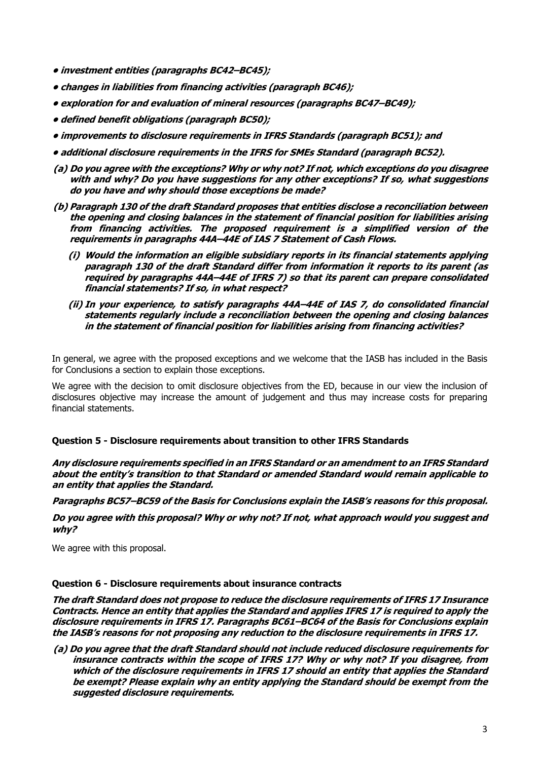- **investment entities (paragraphs BC42–BC45);**
- **changes in liabilities from financing activities (paragraph BC46);**
- **exploration for and evaluation of mineral resources (paragraphs BC47–BC49);**
- **defined benefit obligations (paragraph BC50);**
- **improvements to disclosure requirements in IFRS Standards (paragraph BC51); and**
- **additional disclosure requirements in the IFRS for SMEs Standard (paragraph BC52).**
- **(a) Do you agree with the exceptions? Why or why not? If not, which exceptions do you disagree with and why? Do you have suggestions for any other exceptions? If so, what suggestions do you have and why should those exceptions be made?**
- **(b) Paragraph 130 of the draft Standard proposes that entities disclose a reconciliation between the opening and closing balances in the statement of financial position for liabilities arising from financing activities. The proposed requirement is a simplified version of the requirements in paragraphs 44A–44E of IAS 7 Statement of Cash Flows.**
	- **(i) Would the information an eligible subsidiary reports in its financial statements applying paragraph 130 of the draft Standard differ from information it reports to its parent (as required by paragraphs 44A–44E of IFRS 7) so that its parent can prepare consolidated financial statements? If so, in what respect?**
	- **(ii) In your experience, to satisfy paragraphs 44A–44E of IAS 7, do consolidated financial statements regularly include a reconciliation between the opening and closing balances in the statement of financial position for liabilities arising from financing activities?**

In general, we agree with the proposed exceptions and we welcome that the IASB has included in the Basis for Conclusions a section to explain those exceptions.

We agree with the decision to omit disclosure objectives from the ED, because in our view the inclusion of disclosures objective may increase the amount of judgement and thus may increase costs for preparing financial statements.

#### **Question 5 - Disclosure requirements about transition to other IFRS Standards**

**Any disclosure requirements specified in an IFRS Standard or an amendment to an IFRS Standard about the entity's transition to that Standard or amended Standard would remain applicable to an entity that applies the Standard.**

**Paragraphs BC57–BC59 of the Basis for Conclusions explain the IASB's reasons for this proposal.**

**Do you agree with this proposal? Why or why not? If not, what approach would you suggest and why?**

We agree with this proposal.

#### **Question 6 - Disclosure requirements about insurance contracts**

**The draft Standard does not propose to reduce the disclosure requirements of IFRS 17 Insurance Contracts. Hence an entity that applies the Standard and applies IFRS 17 is required to apply the disclosure requirements in IFRS 17. Paragraphs BC61–BC64 of the Basis for Conclusions explain the IASB's reasons for not proposing any reduction to the disclosure requirements in IFRS 17.**

**(a) Do you agree that the draft Standard should not include reduced disclosure requirements for insurance contracts within the scope of IFRS 17? Why or why not? If you disagree, from which of the disclosure requirements in IFRS 17 should an entity that applies the Standard be exempt? Please explain why an entity applying the Standard should be exempt from the suggested disclosure requirements.**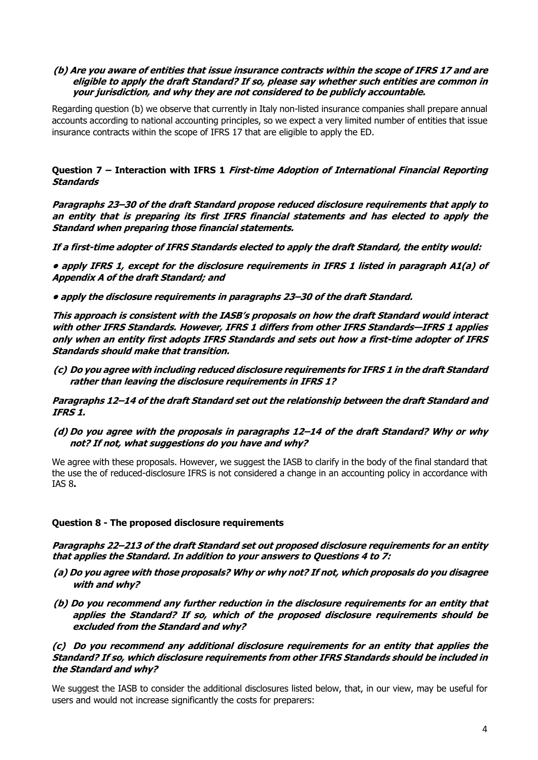## **(b) Are you aware of entities that issue insurance contracts within the scope of IFRS 17 and are eligible to apply the draft Standard? If so, please say whether such entities are common in your jurisdiction, and why they are not considered to be publicly accountable.**

Regarding question (b) we observe that currently in Italy non-listed insurance companies shall prepare annual accounts according to national accounting principles, so we expect a very limited number of entities that issue insurance contracts within the scope of IFRS 17 that are eligible to apply the ED.

# **Question 7 – Interaction with IFRS 1 First-time Adoption of International Financial Reporting Standards**

**Paragraphs 23–30 of the draft Standard propose reduced disclosure requirements that apply to an entity that is preparing its first IFRS financial statements and has elected to apply the Standard when preparing those financial statements.**

**If a first-time adopter of IFRS Standards elected to apply the draft Standard, the entity would:**

**• apply IFRS 1, except for the disclosure requirements in IFRS 1 listed in paragraph A1(a) of Appendix A of the draft Standard; and**

**• apply the disclosure requirements in paragraphs 23–30 of the draft Standard.**

**This approach is consistent with the IASB's proposals on how the draft Standard would interact with other IFRS Standards. However, IFRS 1 differs from other IFRS Standards—IFRS 1 applies only when an entity first adopts IFRS Standards and sets out how a first-time adopter of IFRS Standards should make that transition.**

**(c) Do you agree with including reduced disclosure requirements for IFRS 1 in the draft Standard rather than leaving the disclosure requirements in IFRS 1?**

**Paragraphs 12–14 of the draft Standard set out the relationship between the draft Standard and IFRS 1.**

**(d) Do you agree with the proposals in paragraphs 12–14 of the draft Standard? Why or why not? If not, what suggestions do you have and why?**

We agree with these proposals. However, we suggest the IASB to clarify in the body of the final standard that the use the of reduced-disclosure IFRS is not considered a change in an accounting policy in accordance with IAS 8**.**

# **Question 8 - The proposed disclosure requirements**

**Paragraphs 22–213 of the draft Standard set out proposed disclosure requirements for an entity that applies the Standard. In addition to your answers to Questions 4 to 7:**

- **(a) Do you agree with those proposals? Why or why not? If not, which proposals do you disagree with and why?**
- **(b) Do you recommend any further reduction in the disclosure requirements for an entity that applies the Standard? If so, which of the proposed disclosure requirements should be excluded from the Standard and why?**

## **(c) Do you recommend any additional disclosure requirements for an entity that applies the Standard? If so, which disclosure requirements from other IFRS Standards should be included in the Standard and why?**

We suggest the IASB to consider the additional disclosures listed below, that, in our view, may be useful for users and would not increase significantly the costs for preparers: